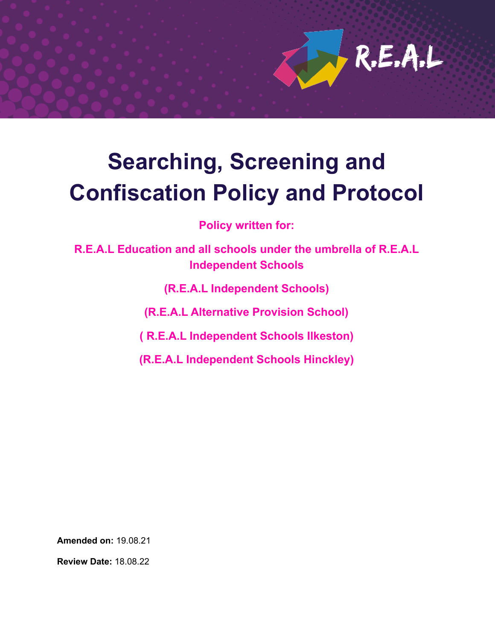

# **Searching, Screening and Confiscation Policy and Protocol**

**Policy written for:**

**R.E.A.L Education and all schools under the umbrella of R.E.A.L Independent Schools**

**(R.E.A.L Independent Schools)**

**(R.E.A.L Alternative Provision School)**

**( R.E.A.L Independent Schools Ilkeston)**

**(R.E.A.L Independent Schools Hinckley)**

**Amended on:** 19.08.21

**Review Date:** 18.08.22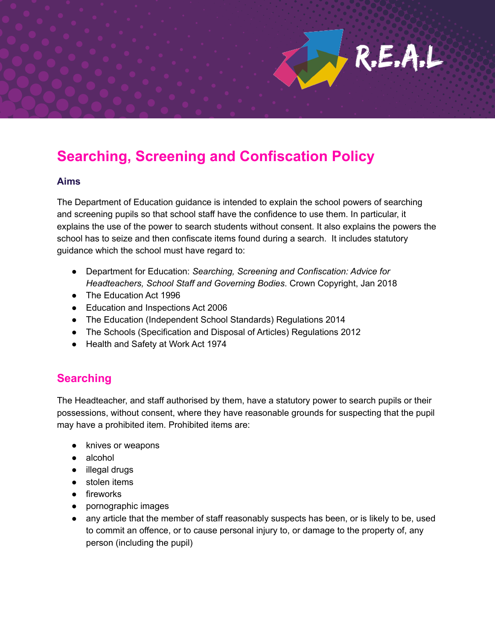## **Searching, Screening and Confiscation Policy**

#### **Aims**

The Department of Education guidance is intended to explain the school powers of searching and screening pupils so that school staff have the confidence to use them. In particular, it explains the use of the power to search students without consent. It also explains the powers the school has to seize and then confiscate items found during a search. It includes statutory guidance which the school must have regard to:

 $R.E.A.L$ 

- Department for Education: *Searching, Screening and Confiscation: Advice for Headteachers, School Staff and Governing Bodies*. Crown Copyright, Jan 2018
- The Education Act 1996
- Education and Inspections Act 2006
- The Education (Independent School Standards) Regulations 2014
- The Schools (Specification and Disposal of Articles) Regulations 2012
- Health and Safety at Work Act 1974

### **Searching**

The Headteacher, and staff authorised by them, have a statutory power to search pupils or their possessions, without consent, where they have reasonable grounds for suspecting that the pupil may have a prohibited item. Prohibited items are:

- knives or weapons
- alcohol
- illegal drugs
- stolen items
- fireworks
- pornographic images
- any article that the member of staff reasonably suspects has been, or is likely to be, used to commit an offence, or to cause personal injury to, or damage to the property of, any person (including the pupil)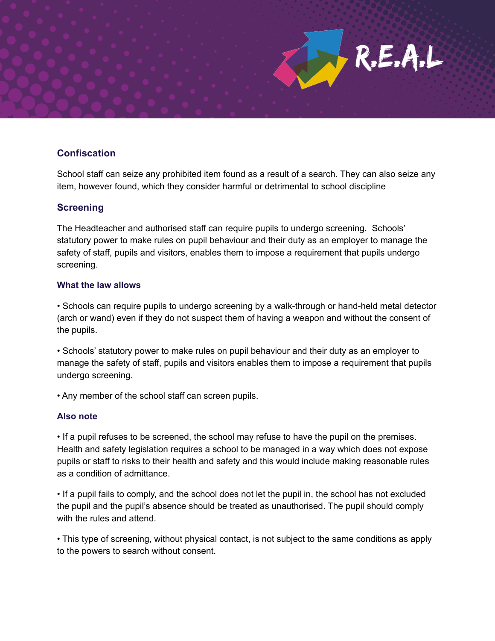

#### **Confiscation**

School staff can seize any prohibited item found as a result of a search. They can also seize any item, however found, which they consider harmful or detrimental to school discipline

#### **Screening**

The Headteacher and authorised staff can require pupils to undergo screening. Schools' statutory power to make rules on pupil behaviour and their duty as an employer to manage the safety of staff, pupils and visitors, enables them to impose a requirement that pupils undergo screening.

#### **What the law allows**

• Schools can require pupils to undergo screening by a walk-through or hand-held metal detector (arch or wand) even if they do not suspect them of having a weapon and without the consent of the pupils.

• Schools' statutory power to make rules on pupil behaviour and their duty as an employer to manage the safety of staff, pupils and visitors enables them to impose a requirement that pupils undergo screening.

• Any member of the school staff can screen pupils.

#### **Also note**

• If a pupil refuses to be screened, the school may refuse to have the pupil on the premises. Health and safety legislation requires a school to be managed in a way which does not expose pupils or staff to risks to their health and safety and this would include making reasonable rules as a condition of admittance.

• If a pupil fails to comply, and the school does not let the pupil in, the school has not excluded the pupil and the pupil's absence should be treated as unauthorised. The pupil should comply with the rules and attend.

• This type of screening, without physical contact, is not subject to the same conditions as apply to the powers to search without consent.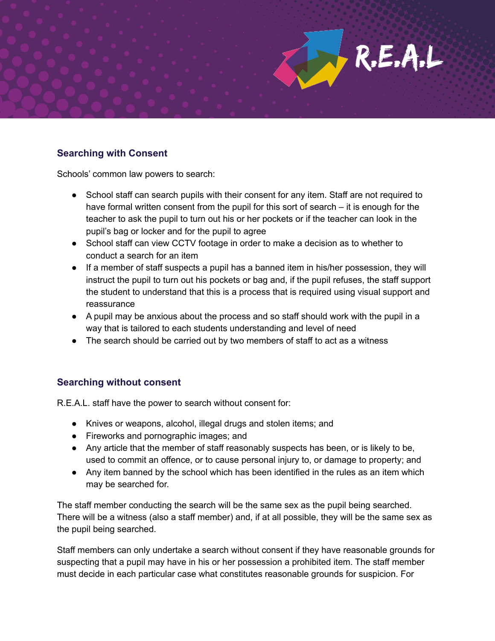

#### **Searching with Consent**

Schools' common law powers to search:

- School staff can search pupils with their consent for any item. Staff are not required to have formal written consent from the pupil for this sort of search – it is enough for the teacher to ask the pupil to turn out his or her pockets or if the teacher can look in the pupil's bag or locker and for the pupil to agree
- School staff can view CCTV footage in order to make a decision as to whether to conduct a search for an item
- If a member of staff suspects a pupil has a banned item in his/her possession, they will instruct the pupil to turn out his pockets or bag and, if the pupil refuses, the staff support the student to understand that this is a process that is required using visual support and reassurance
- A pupil may be anxious about the process and so staff should work with the pupil in a way that is tailored to each students understanding and level of need
- The search should be carried out by two members of staff to act as a witness

#### **Searching without consent**

R.E.A.L. staff have the power to search without consent for:

- Knives or weapons, alcohol, illegal drugs and stolen items; and
- Fireworks and pornographic images; and
- Any article that the member of staff reasonably suspects has been, or is likely to be, used to commit an offence, or to cause personal injury to, or damage to property; and
- Any item banned by the school which has been identified in the rules as an item which may be searched for.

The staff member conducting the search will be the same sex as the pupil being searched. There will be a witness (also a staff member) and, if at all possible, they will be the same sex as the pupil being searched.

Staff members can only undertake a search without consent if they have reasonable grounds for suspecting that a pupil may have in his or her possession a prohibited item. The staff member must decide in each particular case what constitutes reasonable grounds for suspicion. For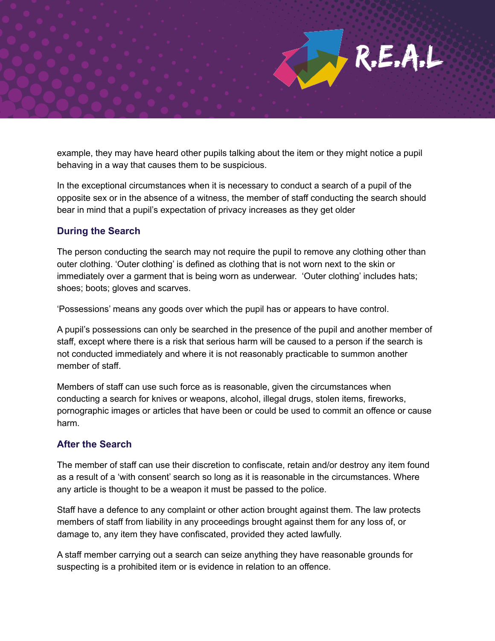example, they may have heard other pupils talking about the item or they might notice a pupil behaving in a way that causes them to be suspicious.

R.E.A.L

In the exceptional circumstances when it is necessary to conduct a search of a pupil of the opposite sex or in the absence of a witness, the member of staff conducting the search should bear in mind that a pupil's expectation of privacy increases as they get older

#### **During the Search**

The person conducting the search may not require the pupil to remove any clothing other than outer clothing. 'Outer clothing' is defined as clothing that is not worn next to the skin or immediately over a garment that is being worn as underwear. 'Outer clothing' includes hats; shoes; boots; gloves and scarves.

'Possessions' means any goods over which the pupil has or appears to have control.

A pupil's possessions can only be searched in the presence of the pupil and another member of staff, except where there is a risk that serious harm will be caused to a person if the search is not conducted immediately and where it is not reasonably practicable to summon another member of staff.

Members of staff can use such force as is reasonable, given the circumstances when conducting a search for knives or weapons, alcohol, illegal drugs, stolen items, fireworks, pornographic images or articles that have been or could be used to commit an offence or cause harm.

#### **After the Search**

The member of staff can use their discretion to confiscate, retain and/or destroy any item found as a result of a 'with consent' search so long as it is reasonable in the circumstances. Where any article is thought to be a weapon it must be passed to the police.

Staff have a defence to any complaint or other action brought against them. The law protects members of staff from liability in any proceedings brought against them for any loss of, or damage to, any item they have confiscated, provided they acted lawfully.

A staff member carrying out a search can seize anything they have reasonable grounds for suspecting is a prohibited item or is evidence in relation to an offence.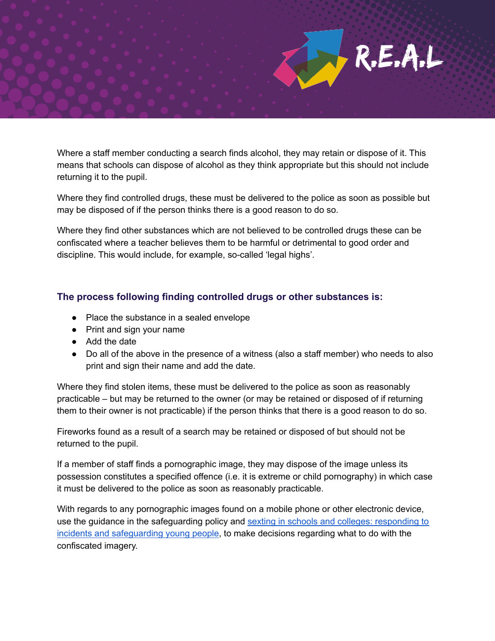

Where a staff member conducting a search finds alcohol, they may retain or dispose of it. This means that schools can dispose of alcohol as they think appropriate but this should not include returning it to the pupil.

Where they find controlled drugs, these must be delivered to the police as soon as possible but may be disposed of if the person thinks there is a good reason to do so.

Where they find other substances which are not believed to be controlled drugs these can be confiscated where a teacher believes them to be harmful or detrimental to good order and discipline. This would include, for example, so-called 'legal highs'.

#### **The process following finding controlled drugs or other substances is:**

- Place the substance in a sealed envelope
- Print and sign your name
- Add the date
- Do all of the above in the presence of a witness (also a staff member) who needs to also print and sign their name and add the date.

Where they find stolen items, these must be delivered to the police as soon as reasonably practicable – but may be returned to the owner (or may be retained or disposed of if returning them to their owner is not practicable) if the person thinks that there is a good reason to do so.

Fireworks found as a result of a search may be retained or disposed of but should not be returned to the pupil.

If a member of staff finds a pornographic image, they may dispose of the image unless its possession constitutes a specified offence (i.e. it is extreme or child pornography) in which case it must be delivered to the police as soon as reasonably practicable.

With regards to any pornographic images found on a mobile phone or other electronic device, use the guidance in the safeguarding policy and sexting in schools and colleges: [responding](https://www.safeguardinginschools.co.uk/wp-content/uploads/2016/08/Sexting-in-schools-and-colleges-UKCCIS-August-2016.pdf) to incidents and [safeguarding](https://www.safeguardinginschools.co.uk/wp-content/uploads/2016/08/Sexting-in-schools-and-colleges-UKCCIS-August-2016.pdf) young people, to make decisions regarding what to do with the confiscated imagery.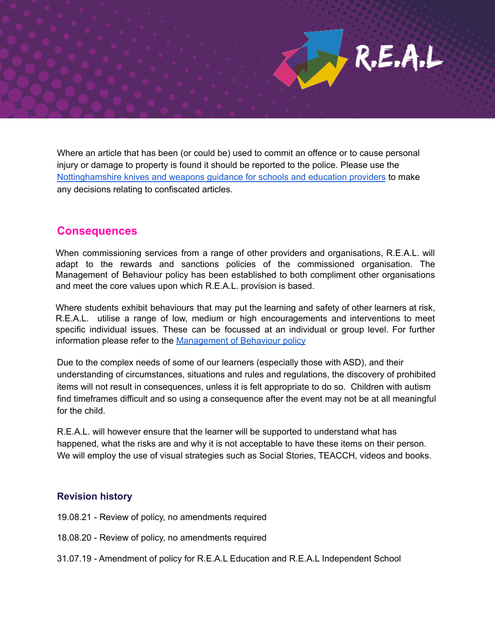Where an article that has been (or could be) used to commit an offence or to cause personal injury or damage to property is found it should be reported to the police. Please use the [Nottinghamshire](https://drive.google.com/drive/u/0/folders/0B0-CgY9d_wfNVjFMUWlvajNENlE) knives and weapons guidance for schools and education providers to make any decisions relating to confiscated articles.

R.E.A.L

#### **Consequences**

When commissioning services from a range of other providers and organisations, R.E.A.L. will adapt to the rewards and sanctions policies of the commissioned organisation. The Management of Behaviour policy has been established to both compliment other organisations and meet the core values upon which R.E.A.L. provision is based.

Where students exhibit behaviours that may put the learning and safety of other learners at risk, R.E.A.L. utilise a range of low, medium or high encouragements and interventions to meet specific individual issues. These can be focussed at an individual or group level. For further information please refer to the [Management](https://docs.google.com/document/d/1Zha26omYJ24Zv9ccUX0roPcqb_y6v-gtcCel54OeV9g/edit) of Behaviour policy

Due to the complex needs of some of our learners (especially those with ASD), and their understanding of circumstances, situations and rules and regulations, the discovery of prohibited items will not result in consequences, unless it is felt appropriate to do so. Children with autism find timeframes difficult and so using a consequence after the event may not be at all meaningful for the child.

R.E.A.L. will however ensure that the learner will be supported to understand what has happened, what the risks are and why it is not acceptable to have these items on their person. We will employ the use of visual strategies such as Social Stories, TEACCH, videos and books.

#### **Revision history**

- 19.08.21 Review of policy, no amendments required
- 18.08.20 Review of policy, no amendments required
- 31.07.19 Amendment of policy for R.E.A.L Education and R.E.A.L Independent School